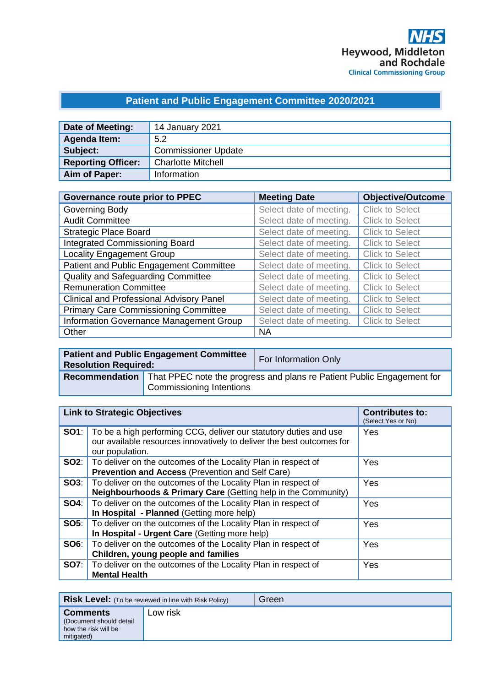# **Patient and Public Engagement Committee 2020/2021**

| Date of Meeting:          | 14 January 2021            |
|---------------------------|----------------------------|
| Agenda Item:              | 5.2                        |
| Subject:                  | <b>Commissioner Update</b> |
| <b>Reporting Officer:</b> | <b>Charlotte Mitchell</b>  |
| Aim of Paper:             | Information                |

| <b>Governance route prior to PPEC</b>           | <b>Meeting Date</b>     | <b>Objective/Outcome</b> |
|-------------------------------------------------|-------------------------|--------------------------|
| Governing Body                                  | Select date of meeting. | <b>Click to Select</b>   |
| <b>Audit Committee</b>                          | Select date of meeting. | <b>Click to Select</b>   |
| <b>Strategic Place Board</b>                    | Select date of meeting. | <b>Click to Select</b>   |
| <b>Integrated Commissioning Board</b>           | Select date of meeting. | <b>Click to Select</b>   |
| <b>Locality Engagement Group</b>                | Select date of meeting. | <b>Click to Select</b>   |
| Patient and Public Engagement Committee         | Select date of meeting. | <b>Click to Select</b>   |
| <b>Quality and Safeguarding Committee</b>       | Select date of meeting. | <b>Click to Select</b>   |
| <b>Remuneration Committee</b>                   | Select date of meeting. | <b>Click to Select</b>   |
| <b>Clinical and Professional Advisory Panel</b> | Select date of meeting. | <b>Click to Select</b>   |
| <b>Primary Care Commissioning Committee</b>     | Select date of meeting. | <b>Click to Select</b>   |
| Information Governance Management Group         | Select date of meeting. | <b>Click to Select</b>   |
| Other                                           | <b>NA</b>               |                          |

| <b>Patient and Public Engagement Committee</b><br><b>Resolution Required:</b> |                          | For Information Only                                                                         |
|-------------------------------------------------------------------------------|--------------------------|----------------------------------------------------------------------------------------------|
|                                                                               |                          | <b>Recommendation</b> That PPEC note the progress and plans re Patient Public Engagement for |
|                                                                               | Commissioning Intentions |                                                                                              |

| <b>Link to Strategic Objectives</b> |                                                                                                                                                               | <b>Contributes to:</b><br>(Select Yes or No) |
|-------------------------------------|---------------------------------------------------------------------------------------------------------------------------------------------------------------|----------------------------------------------|
| SO1:                                | To be a high performing CCG, deliver our statutory duties and use<br>our available resources innovatively to deliver the best outcomes for<br>our population. | Yes                                          |
| SO2:                                | To deliver on the outcomes of the Locality Plan in respect of<br>Prevention and Access (Prevention and Self Care)                                             | Yes                                          |
| SOS:                                | To deliver on the outcomes of the Locality Plan in respect of<br>Neighbourhoods & Primary Care (Getting help in the Community)                                | Yes                                          |
| SO4:                                | To deliver on the outcomes of the Locality Plan in respect of<br>In Hospital - Planned (Getting more help)                                                    | Yes                                          |
| <b>SO5:</b>                         | To deliver on the outcomes of the Locality Plan in respect of<br>In Hospital - Urgent Care (Getting more help)                                                | Yes                                          |
| SO6:                                | To deliver on the outcomes of the Locality Plan in respect of<br>Children, young people and families                                                          | Yes                                          |
| <b>SO7:</b>                         | To deliver on the outcomes of the Locality Plan in respect of<br><b>Mental Health</b>                                                                         | Yes                                          |

|                                                                                   | <b>Risk Level:</b> (To be reviewed in line with Risk Policy) | Green |
|-----------------------------------------------------------------------------------|--------------------------------------------------------------|-------|
| <b>Comments</b><br>(Document should detail)<br>how the risk will be<br>mitigated) | Low risk                                                     |       |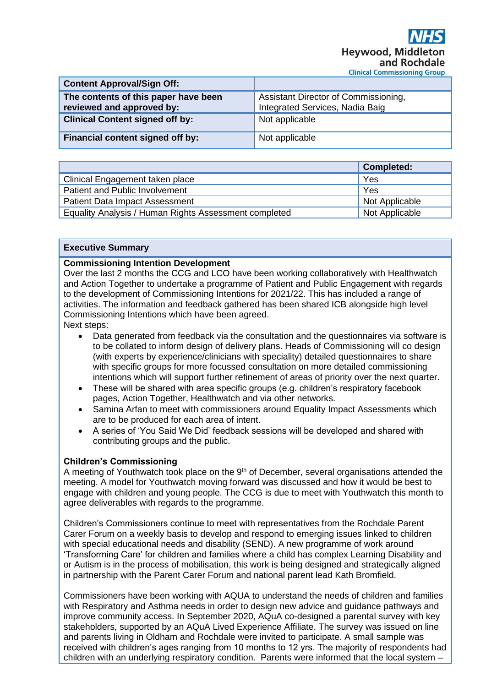| <b>Content Approval/Sign Off:</b>                                 |                                                                         |
|-------------------------------------------------------------------|-------------------------------------------------------------------------|
| The contents of this paper have been<br>reviewed and approved by: | Assistant Director of Commissioning,<br>Integrated Services, Nadia Baig |
| <b>Clinical Content signed off by:</b>                            | Not applicable                                                          |
| Financial content signed off by:                                  | Not applicable                                                          |

|                                                       | <b>Completed:</b> |
|-------------------------------------------------------|-------------------|
| Clinical Engagement taken place                       | Yes               |
| Patient and Public Involvement                        | Yes               |
| <b>Patient Data Impact Assessment</b>                 | Not Applicable    |
| Equality Analysis / Human Rights Assessment completed | Not Applicable    |

#### **Executive Summary**

#### **Commissioning Intention Development**

Over the last 2 months the CCG and LCO have been working collaboratively with Healthwatch and Action Together to undertake a programme of Patient and Public Engagement with regards to the development of Commissioning Intentions for 2021/22. This has included a range of activities. The information and feedback gathered has been shared ICB alongside high level Commissioning Intentions which have been agreed.

Next steps:

- Data generated from feedback via the consultation and the questionnaires via software is to be collated to inform design of delivery plans. Heads of Commissioning will co design (with experts by experience/clinicians with speciality) detailed questionnaires to share with specific groups for more focussed consultation on more detailed commissioning intentions which will support further refinement of areas of priority over the next quarter.
- These will be shared with area specific groups (e.g. children's respiratory facebook pages, Action Together, Healthwatch and via other networks.
- Samina Arfan to meet with commissioners around Equality Impact Assessments which are to be produced for each area of intent.
- A series of 'You Said We Did' feedback sessions will be developed and shared with contributing groups and the public.

#### **Children's Commissioning**

A meeting of Youthwatch took place on the 9<sup>th</sup> of December, several organisations attended the meeting. A model for Youthwatch moving forward was discussed and how it would be best to engage with children and young people. The CCG is due to meet with Youthwatch this month to agree deliverables with regards to the programme.

Children's Commissioners continue to meet with representatives from the Rochdale Parent Carer Forum on a weekly basis to develop and respond to emerging issues linked to children with special educational needs and disability (SEND). A new programme of work around 'Transforming Care' for children and families where a child has complex Learning Disability and or Autism is in the process of mobilisation, this work is being designed and strategically aligned in partnership with the Parent Carer Forum and national parent lead Kath Bromfield.

Commissioners have been working with AQUA to understand the needs of children and families with Respiratory and Asthma needs in order to design new advice and guidance pathways and improve community access. In September 2020, AQuA co-designed a parental survey with key stakeholders, supported by an AQuA Lived Experience Affiliate. The survey was issued on line and parents living in Oldham and Rochdale were invited to participate. A small sample was received with children's ages ranging from 10 months to 12 yrs. The majority of respondents had children with an underlying respiratory condition. Parents were informed that the local system –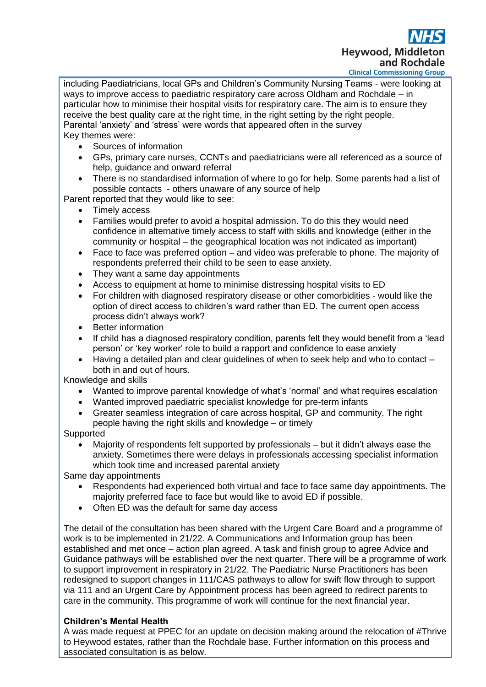**Heywood, Middle** and Rochdale **Clinical Commissioning Group** 

including Paediatricians, local GPs and Children's Community Nursing Teams - were looking at ways to improve access to paediatric respiratory care across Oldham and Rochdale – in particular how to minimise their hospital visits for respiratory care. The aim is to ensure they receive the best quality care at the right time, in the right setting by the right people. Parental 'anxiety' and 'stress' were words that appeared often in the survey Key themes were:

- Sources of information
- GPs, primary care nurses, CCNTs and paediatricians were all referenced as a source of help, guidance and onward referral
- There is no standardised information of where to go for help. Some parents had a list of possible contacts - others unaware of any source of help

Parent reported that they would like to see:

- Timely access
- Families would prefer to avoid a hospital admission. To do this they would need confidence in alternative timely access to staff with skills and knowledge (either in the community or hospital – the geographical location was not indicated as important)
- Face to face was preferred option and video was preferable to phone. The majority of respondents preferred their child to be seen to ease anxiety.
- They want a same day appointments
- Access to equipment at home to minimise distressing hospital visits to ED
- For children with diagnosed respiratory disease or other comorbidities would like the option of direct access to children's ward rather than ED. The current open access process didn't always work?
- Better information
- If child has a diagnosed respiratory condition, parents felt they would benefit from a 'lead person' or 'key worker' role to build a rapport and confidence to ease anxiety
- Having a detailed plan and clear guidelines of when to seek help and who to contact both in and out of hours.

Knowledge and skills

- Wanted to improve parental knowledge of what's 'normal' and what requires escalation
- Wanted improved paediatric specialist knowledge for pre-term infants
- Greater seamless integration of care across hospital, GP and community. The right people having the right skills and knowledge – or timely

Supported

• Majority of respondents felt supported by professionals – but it didn't always ease the anxiety. Sometimes there were delays in professionals accessing specialist information which took time and increased parental anxiety

Same day appointments

- Respondents had experienced both virtual and face to face same day appointments. The majority preferred face to face but would like to avoid ED if possible.
- Often ED was the default for same day access

The detail of the consultation has been shared with the Urgent Care Board and a programme of work is to be implemented in 21/22. A Communications and Information group has been established and met once – action plan agreed. A task and finish group to agree Advice and Guidance pathways will be established over the next quarter. There will be a programme of work to support improvement in respiratory in 21/22. The Paediatric Nurse Practitioners has been redesigned to support changes in 111/CAS pathways to allow for swift flow through to support via 111 and an Urgent Care by Appointment process has been agreed to redirect parents to care in the community. This programme of work will continue for the next financial year.

# **Children's Mental Health**

A was made request at PPEC for an update on decision making around the relocation of #Thrive to Heywood estates, rather than the Rochdale base. Further information on this process and associated consultation is as below.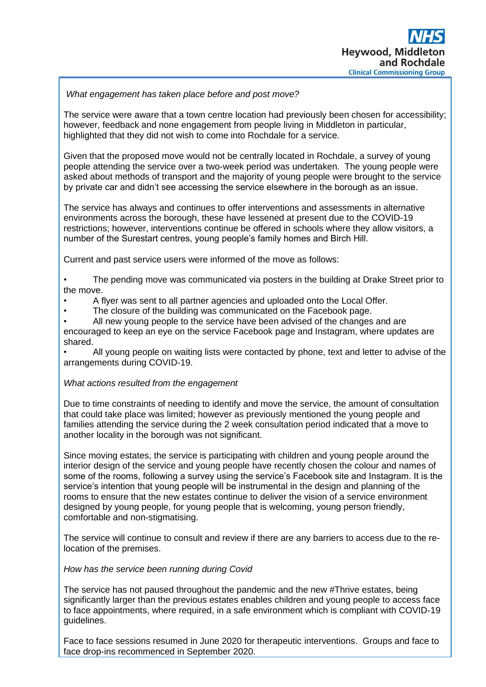# *What engagement has taken place before and post move?*

The service were aware that a town centre location had previously been chosen for accessibility; however, feedback and none engagement from people living in Middleton in particular, highlighted that they did not wish to come into Rochdale for a service.

Given that the proposed move would not be centrally located in Rochdale, a survey of young people attending the service over a two-week period was undertaken. The young people were asked about methods of transport and the majority of young people were brought to the service by private car and didn't see accessing the service elsewhere in the borough as an issue.

The service has always and continues to offer interventions and assessments in alternative environments across the borough, these have lessened at present due to the COVID-19 restrictions; however, interventions continue be offered in schools where they allow visitors, a number of the Surestart centres, young people's family homes and Birch Hill.

Current and past service users were informed of the move as follows:

The pending move was communicated via posters in the building at Drake Street prior to the move.

- A flyer was sent to all partner agencies and uploaded onto the Local Offer.
- The closure of the building was communicated on the Facebook page.

• All new young people to the service have been advised of the changes and are encouraged to keep an eye on the service Facebook page and Instagram, where updates are shared.

• All young people on waiting lists were contacted by phone, text and letter to advise of the arrangements during COVID-19.

## *What actions resulted from the engagement*

Due to time constraints of needing to identify and move the service, the amount of consultation that could take place was limited; however as previously mentioned the young people and families attending the service during the 2 week consultation period indicated that a move to another locality in the borough was not significant.

Since moving estates, the service is participating with children and young people around the interior design of the service and young people have recently chosen the colour and names of some of the rooms, following a survey using the service's Facebook site and Instagram. It is the service's intention that young people will be instrumental in the design and planning of the rooms to ensure that the new estates continue to deliver the vision of a service environment designed by young people, for young people that is welcoming, young person friendly, comfortable and non-stigmatising.

The service will continue to consult and review if there are any barriers to access due to the relocation of the premises.

## *How has the service been running during Covid*

The service has not paused throughout the pandemic and the new #Thrive estates, being significantly larger than the previous estates enables children and young people to access face to face appointments, where required, in a safe environment which is compliant with COVID-19 guidelines.

Face to face sessions resumed in June 2020 for therapeutic interventions. Groups and face to face drop-ins recommenced in September 2020.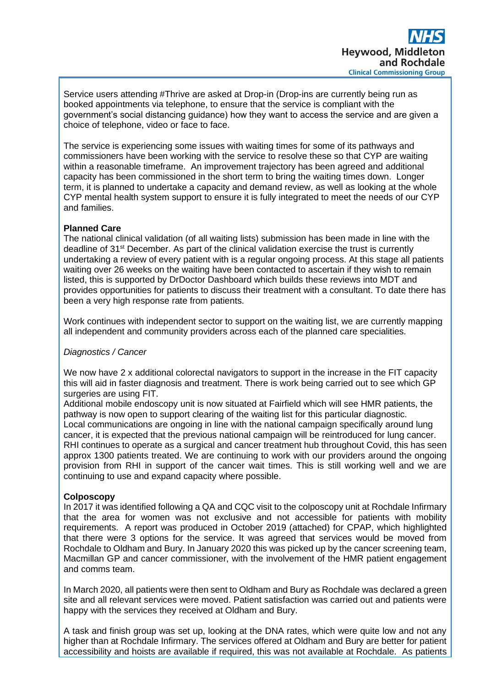Service users attending #Thrive are asked at Drop-in (Drop-ins are currently being run as booked appointments via telephone, to ensure that the service is compliant with the government's social distancing guidance) how they want to access the service and are given a choice of telephone, video or face to face.

The service is experiencing some issues with waiting times for some of its pathways and commissioners have been working with the service to resolve these so that CYP are waiting within a reasonable timeframe. An improvement trajectory has been agreed and additional capacity has been commissioned in the short term to bring the waiting times down. Longer term, it is planned to undertake a capacity and demand review, as well as looking at the whole CYP mental health system support to ensure it is fully integrated to meet the needs of our CYP and families.

# **Planned Care**

The national clinical validation (of all waiting lists) submission has been made in line with the deadline of 31st December. As part of the clinical validation exercise the trust is currently undertaking a review of every patient with is a regular ongoing process. At this stage all patients waiting over 26 weeks on the waiting have been contacted to ascertain if they wish to remain listed, this is supported by DrDoctor Dashboard which builds these reviews into MDT and provides opportunities for patients to discuss their treatment with a consultant. To date there has been a very high response rate from patients.

Work continues with independent sector to support on the waiting list, we are currently mapping all independent and community providers across each of the planned care specialities*.*

## *Diagnostics / Cancer*

We now have 2 x additional colorectal navigators to support in the increase in the FIT capacity this will aid in faster diagnosis and treatment. There is work being carried out to see which GP surgeries are using FIT.

Additional mobile endoscopy unit is now situated at Fairfield which will see HMR patients, the pathway is now open to support clearing of the waiting list for this particular diagnostic. Local communications are ongoing in line with the national campaign specifically around lung cancer, it is expected that the previous national campaign will be reintroduced for lung cancer. RHI continues to operate as a surgical and cancer treatment hub throughout Covid, this has seen approx 1300 patients treated. We are continuing to work with our providers around the ongoing provision from RHI in support of the cancer wait times. This is still working well and we are continuing to use and expand capacity where possible.

# **Colposcopy**

In 2017 it was identified following a QA and CQC visit to the colposcopy unit at Rochdale Infirmary that the area for women was not exclusive and not accessible for patients with mobility requirements. A report was produced in October 2019 (attached) for CPAP, which highlighted that there were 3 options for the service. It was agreed that services would be moved from Rochdale to Oldham and Bury. In January 2020 this was picked up by the cancer screening team, Macmillan GP and cancer commissioner, with the involvement of the HMR patient engagement and comms team.

In March 2020, all patients were then sent to Oldham and Bury as Rochdale was declared a green site and all relevant services were moved. Patient satisfaction was carried out and patients were happy with the services they received at Oldham and Bury.

A task and finish group was set up, looking at the DNA rates, which were quite low and not any higher than at Rochdale Infirmary. The services offered at Oldham and Bury are better for patient accessibility and hoists are available if required, this was not available at Rochdale. As patients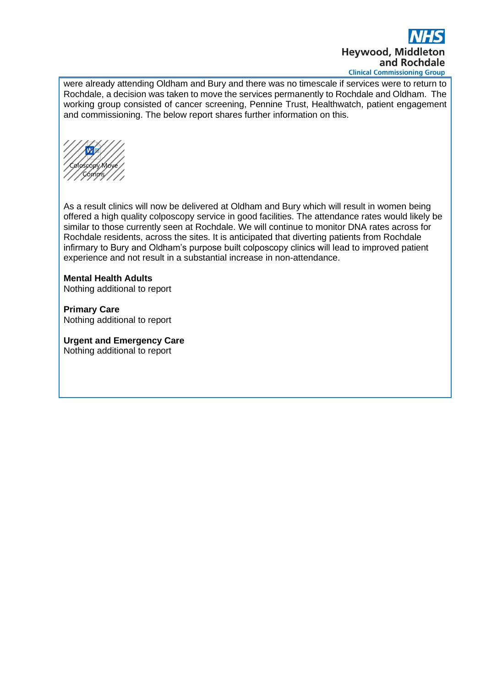

were already attending Oldham and Bury and there was no timescale if services were to return to Rochdale, a decision was taken to move the services permanently to Rochdale and Oldham. The working group consisted of cancer screening, Pennine Trust, Healthwatch, patient engagement and commissioning. The below report shares further information on this.

Coloscopy Move Comms

As a result clinics will now be delivered at Oldham and Bury which will result in women being offered a high quality colposcopy service in good facilities. The attendance rates would likely be similar to those currently seen at Rochdale. We will continue to monitor DNA rates across for Rochdale residents, across the sites. It is anticipated that diverting patients from Rochdale infirmary to Bury and Oldham's purpose built colposcopy clinics will lead to improved patient experience and not result in a substantial increase in non-attendance.

#### **Mental Health Adults**

Nothing additional to report

**Primary Care** Nothing additional to report

**Urgent and Emergency Care**  Nothing additional to report